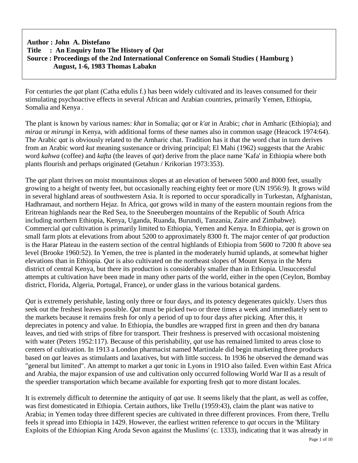## **Author : John A. Distefano Title : An Enquiry Into The History of** *Qat* **Source : Proceedings of the 2nd International Conference on Somali Studies ( Hamburg ) August, 1-6, 1983 Thomas Labakn**

For centuries the *qat* plant (Catha edulis f.) has been widely cultivated and its leaves consumed for their stimulating psychoactive effects in several African and Arabian countries, primarily Yemen, Ethiopia, Somalia and Kenya .

The plant is known by various names: *khat* in Somalia; *qat* or *k'at* in Arabic; *chat* in Amharic (Ethiopia); and *miraa* or *mirungi* in Kenya, with additional forms of these names also in common usage (Heacock 1974:64). The Arabic *qat* is obviously related to the Amharic chat. Tradition has it that the word chat in turn derives from an Arabic word *kut* meaning sustenance or driving principal; El Mahi (1962) suggests that the Arabic word *kahwa* (coffee) and *kafta* (the leaves of *qat*) derive from the place name 'Kafa' in Ethiopia where both plants flourish and perhaps originated (Getahun / Krikorian 1973:353).

The *qat* plant thrives on moist mountainous slopes at an elevation of between 5000 and 8000 feet, usually growing to a height of twenty feet, but occasionally reaching eighty feet or more (UN 1956:9). It grows wild in several highland areas of southwestern Asia. It is reported to occur sporadically in Turkestan, Afghanistan, Hadhramaut, and northern Hejaz. In Africa, *qat* grows wild in many of the eastern mountain regions from the Eritrean highlands near the Red Sea, to the Sneeubergen mountains of the Republic of South Africa including northern Ethiopia, Kenya, Uganda, Ruanda, Burundi, Tanzania, Zaire and Zimbabwe). Commercial *qat* cultivation is primarily limited to Ethiopia, Yemen and Kenya. In Ethiopia, *qat* is grown on small farm plots at elevations from about 5200 to approximately 8300 ft. The major center of *qat* production is the Harar Plateau in the eastern section of the central highlands of Ethiopia from 5600 to 7200 ft above sea level (Brooke 1960:52). In Yemen, the tree is planted in the moderately humid uplands, at somewhat higher elevations than in Ethiopia. *Qat* is also cultivated on the northeast slopes of Mount Kenya in the Meru district of central Kenya, but there its production is considerably smaller than in Ethiopia. Unsuccessful attempts at cultivation have been made in many other parts of the world, either in the open (Ceylon, Bombay district, Florida, Algeria, Portugal, France), or under glass in the various botanical gardens.

*Qat* is extremely perishable, lasting only three or four days, and its potency degenerates quickly. Users thus seek out the freshest leaves possible. *Qat* must be picked two or three times a week and immediately sent to the markets because it remains fresh for only a period of up to four days after picking. After this, it depreciates in potency and value. In Ethiopia, the bundles are wrapped first in green and then dry banana leaves, and tied with strips of fibre for transport. Their freshness is preserved with occasional moistening with water (Peters 1952:117). Because of this perishability, *qat* use has remained limited to areas close to centers of cultivation. In 1913 a London pharmacist named Martindale did begin marketing three products based on *qat* leaves as stimulants and laxatives, but with little success. In 1936 he observed the demand was "general but limited". An attempt to market a *qat* tonic in Lyons in 191O also failed. Even within East Africa and Arabia, the major expansion of use and cultivation only occurred following World War II as a result of the speedier transportation which became available for exporting fresh *qat* to more distant locales.

It is extremely difficult to determine the antiquity of *qat* use. It seems likely that the plant, as well as coffee, was first domesticated in Ethiopia. Certain authors, like Trellu (1959:43), claim the plant was native to Arabia; in Yemen today three different species are cultivated in three different provinces. From there, Trellu feels it spread into Ethiopia in 1429. However, the earliest written reference to *qat* occurs in the 'Military Exploits of the Ethiopian King Aroda Sevon against the Muslims' (c. 1333), indicating that it was already in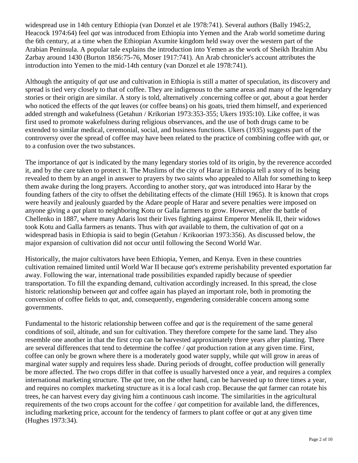widespread use in 14th century Ethiopia (van Donzel et ale 1978:741). Several authors (Bally 1945:2, Heacock 1974:64) feel *qat* was introduced from Ethiopia into Yemen and the Arab world sometime during the 6th century, at a time when the Ethiopian Axumite kingdom held sway over the western part of the Arabian Peninsula. A popular tale explains the introduction into Yemen as the work of Sheikh Ibrahim Abu Zarbay around 1430 (Burton 1856:75-76, Moser 1917:741). An Arab chronicler's account attributes the introduction into Yemen to the mid-14th century (van Donzel et ale 1978:741).

Although the antiquity of *qat* use and cultivation in Ethiopia is still a matter of speculation, its discovery and spread is tied very closely to that of coffee. They are indigenous to the same areas and many of the legendary stories or their origin are similar. A story is told, alternatively .concerning coffee or *qat*, about a goat herder who noticed the effects of the *qat* leaves (or coffee beans) on his goats, tried them himself, and experienced added strength and wakefulness (Getahun / Krikorian 1973:353-355; Ukers 1935:10). Like coffee, it was first used to promote wakefulness during religious observances, and the use of both drugs came to be extended to similar medical, ceremonial, social, and business functions. Ukers (1935) suggests part of the controversy over the spread of coffee may have been related to the practice of combining coffee with *qat*, or to a confusion over the two substances.

The importance of *qat* is indicated by the many legendary stories told of its origin, by the reverence accorded it, and by the care taken to protect it. The Muslims of the city of Harar in Ethiopia tell a story of its being revealed to them by an angel in answer to prayers by two saints who appealed to Allah for something to keep them awake during the long prayers. According to another story, *qat* was introduced into Harar by the founding fathers of the city to offset the debilitating effects of the climate (Hill 1965). It is known that crops were heavily and jealously guarded by the Adare people of Harar and severe penalties were imposed on anyone giving a *qat* plant to neighboring Kotu or Galla farmers to grow. However, after the battle of Chellenko in 1887, where many Adaris lost their lives fighting against Emperor Menelik II, their widows took Kotu and Galla farmers as tenants. Thus with *qat* available to them, the cultivation of *qat* on a widespread basis in Ethiopia is said to begin (Getahun / Krikoorian 1973:356). As discussed below, the major expansion of cultivation did not occur until following the Second World War.

Historically, the major cultivators have been Ethiopia, Yemen, and Kenya. Even in these countries cultivation remained limited until World War II because *qat*'s extreme perishability prevented exportation far away. Following the war, international trade possibilities expanded rapidly because of speedier transportation. To fill the expanding demand, cultivation accordingly increased. In this spread, the close historic relationship between *qat* and coffee again has played an important role, both in promoting the conversion of coffee fields to *qat*, and, consequently, engendering considerable concern among some governments.

Fundamental to the historic relationship between coffee and *qat* is the requirement of the same general conditions of soil, altitude, and sun for cultivation. They therefore compete for the same land. They also resemble one another in that the first crop can be harvested approximately three years after planting. There are several differences that tend to determine the coffee / *qat* production ration at any given time. First, coffee can only be grown where there is a moderately good water supply, while *qat* will grow in areas of marginal water supply and requires less shade. During periods of drought, coffee production will generally be more affected. The two crops differ in that coffee is usually harvested once a year, and requires a complex international marketing structure. The *qat* tree, on the other hand, can be harvested up to three times a year, and requires no complex marketing structure as it is a local cash crop. Because the *qat* farmer can rotate his trees, he can harvest every day giving him a continuous cash income. The similarities in the agricultural requirements of the two crops account for the coffee / *qat* competition for available land, the differences, including marketing price, account for the tendency of farmers to plant coffee or *qat* at any given time (Hughes 1973:34).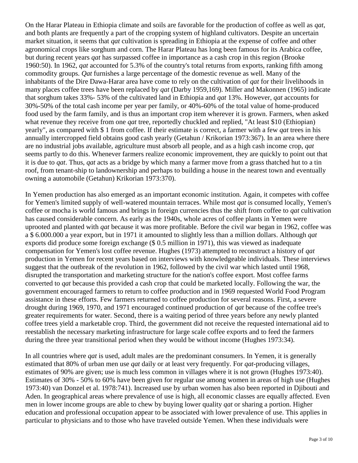On the Harar Plateau in Ethiopia climate and soils are favorable for the production of coffee as well as *qat*, and both plants are frequently a part of the cropping system of highland cultivators. Despite an uncertain market situation, it seems that *qat* cultivation is spreading in Ethiopia at the expense of coffee and other agronomical crops like sorghum and corn. The Harar Plateau has long been famous for its Arabica coffee, but during recent years *qat* has surpassed coffee in importance as a cash crop in this region (Brooke 1960:50). In 1962, *qat* accounted for 5.3% of the country's total returns from exports, ranking fifth among commodity groups. *Qat* furnishes a large percentage of the domestic revenue as well. Many of the inhabitants of the Dire Dawa-Harar area have come to rely on the cultivation of *qat* for their livelihoods in many places coffee trees have been replaced by *qat* (Darby 1959,169). Miller and Makonnen (1965) indicate that sorghum takes 33%- 53% of the cultivated land in Ethiopia and *qat* 13%. However, *qat* accounts for 30%-50% of the total cash income per year per family, or 40%-60% of the total value of home-produced food used by the farm family, and is thus an important crop item wherever it is grown. Farmers, when asked what revenue they receive from one *qat* tree, reportedly chuckled and replied, "At least \$10 (Ethiopian) yearly", as compared with \$ 1 from coffee. If their estimate is correct, a farmer with a few *qat* trees in his annually intercropped field obtains good cash yearly (Getahun / Krikorian 1973:367). In an area where there are no industrial jobs available, agriculture must absorb all people, and as a high cash income crop, *qat* seems partly to do this. Whenever farmers realize economic improvement, they are quickly to point out that it is due to *qat*. Thus, *qat* acts as a bridge by which many a farmer move from a grass thatched hut to a tin roof, from tenant-ship to landownership and perhaps to building a house in the nearest town and eventually owning a automobile (Getahun) Krikorian 1973:370).

In Yemen production has also emerged as an important economic institution. Again, it competes with coffee for Yemen's limited supply of well-watered mountain terraces. While most *qat* is consumed locally, Yemen's coffee or mocha is world famous and brings in foreign currencies thus the shift from coffee to *qat* cultivation has caused considerable concern. As early as the 1940s, whole acres of coffee plants in Yemen were uprooted and planted with *qat* because it was more profitable. Before the civil war began in 1962, coffee was a \$ 6.000.000 a year export, but in 1971 it amounted to slightly less than a million dollars. Although *qat* exports did produce some foreign exchange (\$ 0.5 million in 1971), this was viewed as inadequate compensation for Yemen's lost coffee revenue. Hughes (1973) attempted to reconstruct a history of *qat* production in Yemen for recent years based on interviews with knowledgeable individuals. These interviews suggest that the outbreak of the revolution in 1962, followed by the civil war which lasted until 1968, disrupted the transportation and marketing structure for the nation's coffee export. Most coffee farms converted to *qat* because this provided a cash crop that could be marketed locally. Following the war, the government encouraged farmers to return to coffee production and in 1969 requested World Food Program assistance in these efforts. Few farmers returned to coffee production for several reasons. First, a severe drought during 1969, 1970, and 1971 encouraged continued production of *qat* because of the coffee tree's greater requirements for water. Second, there is a waiting period of three years before any newly planted coffee trees yield a marketable crop. Third, the government did not receive the requested international aid to reestablish the necessary marketing infrastructure for large scale coffee exports and to feed the farmers during the three year transitional period when they would be without income (Hughes 1973:34).

In all countries where *qat* is used, adult males are the predominant consumers. In Yemen, it is generally estimated that 80% of urban men use *qat* daily or at least very frequently. For *qat*-producing villages, estimates of 90% are given; use is much less common in villages where it is not grown (Hughes 1973:40). Estimates of 30% - 50% to 60% have been given for regular use among women in areas of high use (Hughes 1973:40) van Donzel et al. 1978:741). Increased use by urban women has also been reported in Djibouti and Aden. In geographical areas where prevalence of use is high, all economic classes are equally affected. Even men in lower income groups are able to chew by buying lower quality *qat* or sharing a portion. Higher education and professional occupation appear to be associated with lower prevalence of use. This applies in particular to physicians and to those who have traveled outside Yemen. When these individuals were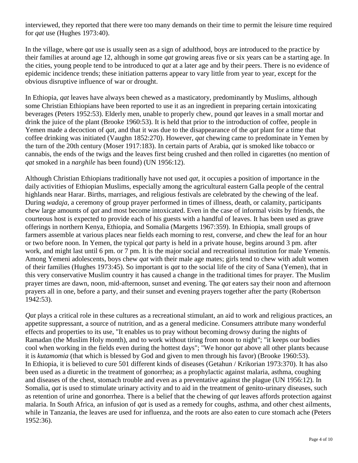interviewed, they reported that there were too many demands on their time to permit the leisure time required for *qat* use (Hughes 1973:40).

In the village, where *qat* use is usually seen as a sign of adulthood, boys are introduced to the practice by their families at around age 12, although in some *qat* growing areas five or six years can be a starting age. In the cities, young people tend to be introduced to *qat* at a later age and by their peers. There is no evidence of epidemic incidence trends; these initiation patterns appear to vary little from year to year, except for the obvious disruptive influence of war or drought.

In Ethiopia, *qat* leaves have always been chewed as a masticatory, predominantly by Muslims, although some Christian Ethiopians have been reported to use it as an ingredient in preparing certain intoxicating beverages (Peters 1952:53). Elderly men, unable to properly chew, pound *qat* leaves in a small mortar and drink the juice of the plant (Brooke 1960:53). It is held that prior to the introduction of coffee, people in Yemen made a decoction of *qat*, and that it was due to the disappearance of the *qat* plant for a time that coffee drinking was initiated (Vaughn 1852:270). However, *qat* chewing came to predominate in Yemen by the turn of the 20th century (Moser 1917:183). In certain parts of Arabia, *qat* is smoked like tobacco or cannabis, the ends of the twigs and the leaves first being crushed and then rolled in cigarettes (no mention of *qat* smoked in a *narghile* has been found) (UN 1956:12).

Although Christian Ethiopians traditionally have not used *qat*, it occupies a position of importance in the daily activities of Ethiopian Muslims, especially among the agricultural eastern Galla people of the central highlands near Harar. Births, marriages, and religious festivals are celebrated by the chewing of the leaf. During *wadaja,* a ceremony of group prayer performed in times of illness, death, or calamity, participants chew large amounts of *qat* and most become intoxicated. Even in the case of informal visits by friends, the courteous host is expected to provide each of his guests with a handful of leaves. It has been used as grave offerings in northern Kenya, Ethiopia, and Somalia (Margetts 1967:359). In Ethiopia, small groups of farmers assemble at various places near fields each morning to rest, converse, and chew the leaf for an hour or two before noon. In Yemen, the typical *qat* party is held in a private house, begins around 3 pm. after work, and might last until 6 pm. or 7 pm. It is the major social and recreational institution for male Yemenis. Among Yemeni adolescents, boys chew *qat* with their male age mates; girls tend to chew with adult women of their families (Hughes 1973:45). So important is *qat* to the social life of the city of Sana (Yemen), that in this very conservative Muslim country it has caused a change in the traditional times for prayer. The Muslim prayer times are dawn, noon, mid-afternoon, sunset and evening. The *qat* eaters say their noon and afternoon prayers all in one, before a party, and their sunset and evening prayers together after the party (Robertson 1942:53).

*Qat* plays a critical role in these cultures as a recreational stimulant, an aid to work and religious practices, an appetite suppressant, a source of nutrition, and as a general medicine. Consumers attribute many wonderful effects and properties to its use, "It enables us to pray without becoming drowsy during the nights of Ramadan (the Muslim Holy month), and to work without tiring from noon to night"; "it keeps our bodies cool when working in the fields even during the hottest days"; "We honor *qat* above all other plants because it is *kutamomia* (that which is blessed by God and given to men through his favor) (Brooke 1960:53). In Ethiopia, it is believed to cure 501 different kinds of diseases (Getahun / Krikorian 1973:370). It has also been used as a diuretic in the treatment of gonorrhea; as a prophylactic against malaria, asthma, coughing and diseases of the chest, stomach trouble and even as a preventative against the plague (UN 1956:12). In Somalia, *qat* is used to stimulate urinary activity and to aid in the treatment of genito-urinary diseases, such as retention of urine and gonorrhea. There is a belief that the chewing of *qat* leaves affords protection against malaria. In South Africa, an infusion of *qat* is used as a remedy for coughs, asthma, and other chest ailments, while in Tanzania, the leaves are used for influenza, and the roots are also eaten to cure stomach ache (Peters 1952:36).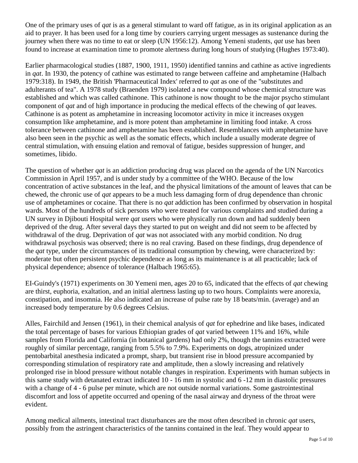One of the primary uses of *qat* is as a general stimulant to ward off fatigue, as in its original application as an aid to prayer. It has been used for a long time by couriers carrying urgent messages as sustenance during the journey when there was no time to eat or sleep (UN 1956:12). Among Yemeni students, *qat* use has been found to increase at examination time to promote alertness during long hours of studying (Hughes 1973:40).

Earlier pharmacological studies (1887, 1900, 1911, 1950) identified tannins and cathine as active ingredients in *qat*. In 1930, the potency of cathine was estimated to range between caffeine and amphetamine (Halbach 1979:318). In 1949, the British 'Pharmaceutical Index' referred to *qat* as one of the "substitutes and adulterants of tea". A 1978 study (Braenden 1979) isolated a new compound whose chemical structure was established and which was called cathinone. This cathinone is now thought to be the major psycho stimulant component of *qat* and of high importance in producing the medical effects of the chewing of *qat* leaves. Cathinone is as potent as amphetamine in increasing locomotor activity in mice it increases oxygen consumption like amphetamine, and is more potent than amphetamine in limiting food intake. A cross tolerance between cathinone and amphetamine has been established. Resemblances with amphetamine have also been seen in the psychic as well as the somatic effects, which include a usually moderate degree of central stimulation, with ensuing elation and removal of fatigue, besides suppression of hunger, and sometimes, libido.

The question of whether *qat* is an addiction producing drug was placed on the agenda of the UN Narcotics Commission in April 1957, and is under study by a committee of the WHO. Because of the low concentration of active substances in the leaf, and the physical limitations of the amount of leaves that can be chewed, the chronic use of *qat* appears to be a much less damaging form of drug dependence than chronic use of amphetamines or cocaine. That there is no *qat* addiction has been confirmed by observation in hospital wards. Most of the hundreds of sick persons who were treated for various complaints and studied during a UN survey in Djibouti Hospital were *qat* users who were physically run down and had suddenly been deprived of the drug. After several days they started to put on weight and did not seem to be affected by withdrawal of the drug. Deprivation of *qat* was not associated with any morbid condition. No drug withdrawal psychosis was observed; there is no real craving. Based on these findings, drug dependence of the *qat* type, under the circumstances of its traditional consumption by chewing, were characterized by: moderate but often persistent psychic dependence as long as its maintenance is at all practicable; lack of physical dependence; absence of tolerance (Halbach 1965:65).

EI-Guindy's (1971) experiments on 30 Yemeni men, ages 20 to 65, indicated that the effects of *qat* chewing are thirst, euphoria, exaltation, and an initial alertness lasting up to two hours. Complaints were anorexia, constipation, and insomnia. He also indicated an increase of pulse rate by 18 beats/min. (average) and an increased body temperature by 0.6 degrees Celsius.

Alles, Fairchild and Jensen (1961), in their chemical analysis of *qat* for ephedrine and like bases, indicated the total percentage of bases for various Ethiopian grades of *qat* varied between 11% and 16%, while samples from Florida and California (in botanical gardens) had only 2%, though the tannins extracted were roughly of similar percentage, ranging from 5.5% to 7.9%. Experiments on dogs, atropinized under pentobarbital anesthesia indicated a prompt, sharp, but transient rise in blood pressure accompanied by corresponding stimulation of respiratory rate and amplitude, then a slowly increasing and relatively prolonged rise in blood pressure without notable changes in respiration. Experiments with human subjects in this same study with detanated extract indicated 10 - 16 mm in systolic and 6 -12 mm in diastolic pressures with a change of 4 - 6 pulse per minute, which are not outside normal variations. Some gastrointestinal discomfort and loss of appetite occurred and opening of the nasal airway and dryness of the throat were evident.

Among medical ailments, intestinal tract disturbances are the most often described in chronic *qat* users, possibly from the astringent characteristics of the tannins contained in the leaf. They would appear to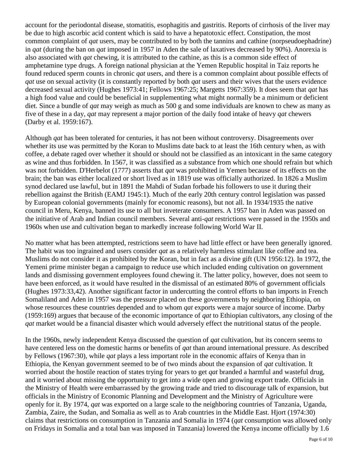account for the periodontal disease, stomatitis, esophagitis and gastritis. Reports of cirrhosis of the liver may be due to high ascorbic acid content which is said to have a hepatotoxic effect. Constipation, the most common complaint of *qat* users, may be contributed to by both the tannins and cathine (norpseudoephadrine) in *qat* (during the ban on *qat* imposed in 1957 in Aden the sale of laxatives decreased by 90%). Anorexia is also associated with *qat* chewing, it is attributed to the cathine, as this is a common side effect of amphetamine type drugs. A foreign national physician at the Yemen Republic hospital in Taiz reports he found reduced sperm counts in chronic *qat* users, and there is a common complaint about possible effects of *qat* use on sexual activity (it is constantly reported by both *qat* users and their wives that the users evidence decreased sexual activity (Hughes 1973:41; Fellows 1967:25; Margetts 1967:359). It does seem that *qat* has a high food value and could be beneficial in supplementing what might normally be a minimum or deficient diet. Since a bundle of *qat* may weigh as much as 500 g and some individuals are known to chew as many as five of these in a day, *qat* may represent a major portion of the daily food intake of heavy *qat* chewers (Darby et al. 1959:167).

Although *qat* has been tolerated for centuries, it has not been without controversy. Disagreements over whether its use was permitted by the Koran to Muslims date back to at least the 16th century when, as with coffee, a debate raged over whether it should or should not be classified as an intoxicant in the same category as wine and thus forbidden. In 1567, it was classified as a substance from which one should refrain but which was not forbidden. D'Herbelot (1777) asserts that *qat* was prohibited in Yemen because of its effects on the brain; the ban was either localized or short lived as in 1819 use was officially authorized. In 1826 a Muslim synod declared use lawful, but in 1891 the Mahdi of Sudan forbade his followers to use it during their rebellion against the British (EAMJ 1945:1). Much of the early 20th century control legislation was passed by European colonial governments (mainly for economic reasons), but not all. In 1934/1935 the native council in Meru, Kenya, banned its use to all but inveterate consumers. A 1957 ban in Aden was passed on the initiative of Arab and Indian council members. Several anti-*qat* restrictions were passed in the 1950s and 1960s when use and cultivation began to markedly increase following World War II.

No matter what has been attempted, restrictions seem to have had little effect or have been generally ignored. The habit was too ingrained and users consider *qat* as a relatively harmless stimulant like coffee and tea. Muslims do not consider it as prohibited by the Koran, but in fact as a divine gift (UN 1956:12). In 1972, the Yemeni prime minister began a campaign to reduce use which included ending cultivation on government lands and dismissing government employees found chewing it. The latter policy, however, does not seem to have been enforced, as it would have resulted in the dismissal of an estimated 80% of government officials (Hughes 1973:33,42). Another significant factor in undercutting the control efforts to ban imports in French Somaliland and Aden in 1957 was the pressure placed on these governments by neighboring Ethiopia, on whose resources these countries depended and to whom *qat* exports were a major source of income. Darby (1959:169) argues that because of the economic importance of *qat* to Ethiopian cultivators, any closing of the *qat* market would be a financial disaster which would adversely effect the nutritional status of the people.

In the 1960s, newly independent Kenya discussed the question of *qat* cultivation, but its concern seems to have centered less on the domestic harms or benefits of *qat* than around international pressure. As described by Fellows (1967:30), while *qat* plays a less important role in the economic affairs of Kenya than in Ethiopia, the Kenyan government seemed to be of two minds about the expansion of *qat* cultivation. It worried about the hostile reaction of states trying for years to get *qat* branded a harmful and wasteful drug, and it worried about missing the opportunity to get into a wide open and growing export trade. Officials in the Ministry of Health were embarrassed by the growing trade and tried to discourage talk of expansion, but officials in the Ministry of Economic Planning and Development and the Ministry of Agriculture were openly for it. By 1974, *qat* was exported on a large scale to the neighboring countries of Tanzania, Uganda, Zambia, Zaire, the Sudan, and Somalia as well as to Arab countries in the Middle East. Hjort (1974:30) claims that restrictions on consumption in Tanzania and Somalia in 1974 (*qat* consumption was allowed only on Fridays in Somalia and a total ban was imposed in Tanzania) lowered the Kenya income officially by 1.6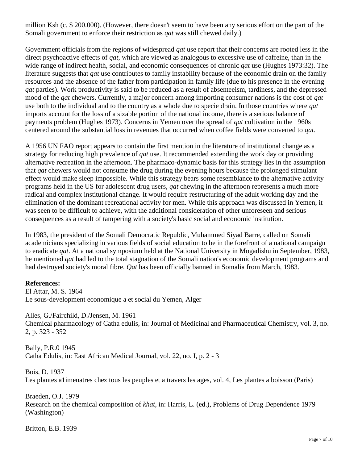million Ksh (c. \$ 200.000). (However, there doesn't seem to have been any serious effort on the part of the Somali government to enforce their restriction as *qat* was still chewed daily.)

Government officials from the regions of widespread *qat* use report that their concerns are rooted less in the direct psychoactive effects of *qat*, which are viewed as analogous to excessive use of caffeine, than in the wide range of indirect health, social, and economic consequences of chronic *qat* use (Hughes 1973:32). The literature suggests that *qat* use contributes to family instability because of the economic drain on the family resources and the absence of the father from participation in family life (due to his presence in the evening *qat* parties). Work productivity is said to be reduced as a result of absenteeism, tardiness, and the depressed mood of the *qat* chewers. Currently, a major concern among importing consumer nations is the cost of *qat* use both to the individual and to the country as a whole due to specie drain. In those countries where *qat* imports account for the loss of a sizable portion of the national income, there is a serious balance of payments problem (Hughes 1973). Concerns in Yemen over the spread of *qat* cultivation in the 1960s centered around the substantial loss in revenues that occurred when coffee fields were converted to *qat*.

A 1956 UN FAO report appears to contain the first mention in the literature of institutional change as a strategy for reducing high prevalence of *qat* use. It recommended extending the work day or providing alternative recreation in the afternoon. The pharmaco-dynamic basis for this strategy lies in the assumption that *qat* chewers would not consume the drug during the evening hours because the prolonged stimulant effect would make sleep impossible. While this strategy bears some resemblance to the alternative activity programs held in the US for adolescent drug users, *qat* chewing in the afternoon represents a much more radical and complex institutional change. It would require restructuring of the adult working day and the elimination of the dominant recreational activity for men. While this approach was discussed in Yemen, it was seen to be difficult to achieve, with the additional consideration of other unforeseen and serious consequences as a result of tampering with a society's basic social and economic institution.

In 1983, the president of the Somali Democratic Republic, Muhammed Siyad Barre, called on Somali academicians specializing in various fields of social education to be in the forefront of a national campaign to eradicate *qat*. At a national symposium held at the National University in Mogadishu in September, 1983, he mentioned *qat* had led to the total stagnation of the Somali nation's economic development programs and had destroyed society's moral fibre. *Qat* has been officially banned in Somalia from March, 1983.

## **References:**

El Attar, M. S. 1964 Le sous-development economique a et social du Yemen, Alger

Alles, G./Fairchild, D./Jensen, M. 1961 Chemical pharmacology of Catha edulis, in: Journal of Medicinal and Pharmaceutical Chemistry, vol. 3, no. 2, p. 323 - 352

Bally, P.R.0 1945 Catha Edulis, in: East African Medical Journal, vol. 22, no. I, p. 2 - 3

Bois, D. 1937 Les plantes a1imenatres chez tous les peuples et a travers les ages, vol. 4, Les plantes a boisson (Paris)

Braeden, O.J. 1979 Research on the chemical composition of *khat*, in: Harris, L. (ed.), Problems of Drug Dependence 1979 (Washington)

Britton, E.B. 1939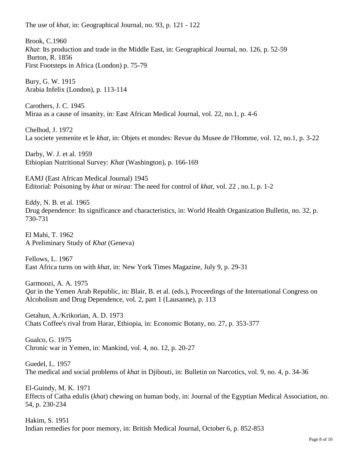Brook, C.1960 *Khat*: Its production and trade in the Middle East, in: Geographical Journal, no. 126, p. 52-59 Burton, R. 1856 First Footsteps in Africa (London) p. 75-79

Bury, G. W. 1915 Arabia Infelix (London), p. 113-114

Carothers, J. C. 1945 Miraa as a cause of insanity, in: East African Medical Journal, vol. 22, no.1, p. 4-6

Chelhod, J. 1972 La societe yemenite et le *khat*, in: Objets et mondes: Revue du Musee de l'Homme, vol. 12, no.1, p. 3-22

Darby, W. J. et al. 1959 Ethiopian Nutritional Survey: *Khat* (Washington), p. 166-169

EAMJ (East African Medical Journal) 1945 Editorial: Poisoning by *khat* or *miraa*: The need for control of *khat*, vol. 22 , no.1, p. 1-2

Eddy, N. B. et al. 1965 Drug dependence: Its significance and characteristics, in: World Health Organization Bulletin, no. 32, p. 730-731

El Mahi, T. 1962 A Preliminary Study of *Khat* (Geneva)

Fellows, L. 1967 East Africa turns on with *khat*, in: New York Times Magazine, July 9, p. 29-31

Garmoozi, A. A. 1975 *Qat* in the Yemen Arab Republic, in: Blair, B. et al. (eds.), Proceedings of the International Congress on Alcoholism and Drug Dependence, vol. 2, part 1 (Lausanne), p. 113

Getahun, A./Krikorian, A. D. 1973 Chats Coffee's rival from Harar, Ethiopia, in: Economic Botany, no. 27, p. 353-377

Gualco, G. 1975 Chronic war in Yemen, in: Mankind, vol. 4, no. 12, p. 20-27

Guedel, L. 1957 The medical and social problems of *khat* in Djibouti, in: Bulletin on Narcotics, vol. 9, no. 4, p. 34-36

El-Guindy, M. K. 1971 Effects of Catha edulis (*khat*) chewing on human body, in: Journal of the Egyptian Medical Association, no. 54, p. 230-234

Hakim, S. 1951 Indian remedies for poor memory, in: British Medical Journal, October 6, p. 852-853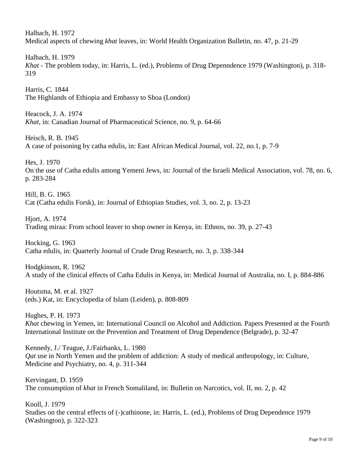Halbach, H. 1972 Medical aspects of chewing *khat* leaves, in: World Health Organization Bulletin, no. 47, p. 21-29

Halbach, H. 1979 *Khat* - The problem today, in: Harris, L. (ed.), Problems of Drug Depenndence 1979 (Washington), p. 318- 319

Harris, C. 1844 The Highlands of Ethiopia and Embassy to Shoa (London)

Heacock, J. A. 1974 *Khat*, in: Canadian Journal of Pharmaceutical Science, no. 9, p. 64-66

Heisch, R. B. 1945 A case of poisoning by catha edulis, in: East African Medical Journal, vol. 22, no.1, p. 7-9

Hes, J. 1970 On the use of Catha edulis among Yemeni Jews, in: Journal of the Israeli Medical Association, vol. 78, no. 6, p. 283-284

Hill, B. G. 1965 Cat (Catha edulis Forsk), in: Journal of Ethiopian Studies, vol. 3, no. 2, p. 13-23

Hjort, A. 1974 Trading miraa: From school leaver to shop owner in Kenya, in: Ethnos, no. 39, p. 27-43

Hocking, G. 1963 Catha edulis, in: Quarterly Journal of Crude Drug Research, no. 3, p. 338-344

Hodgkinson, R. 1962 A study of the clinical effects of Catha Edulis in Kenya, in: Medical Journal of Australia, no. I, p. 884-886

Houtsma, M. et al. 1927 (eds.) Kat, in: Encyclopedia of Islam (Leiden), p. 808-809

Hughes, P. H. 1973 *Khat* chewing in Yemen, in: International Council on Alcohol and Addiction. Papers Presented at the Fourth International Institute on the Prevention and Treatment of Drug Dependence (Belgrade), p. 32-47

Kennedy, J./ Teague, J./Fairbanks, L. 1980 *Qat* use in North Yemen and the problem of addiction: A study of medical anthropology, in: Culture, Medicine and Psychiatry, no. 4, p. 311-344

Kervingant, D. 1959 The consumption of *khat* in French Somaliland, in: Bulletin on Narcotics, vol. II, no. 2, p. 42

Knoll, J. 1979 Studies on the central effects of (-)cathinone, in: Harris, L. (ed.), Problems of Drug Dependence 1979 (Washington), p. 322-323